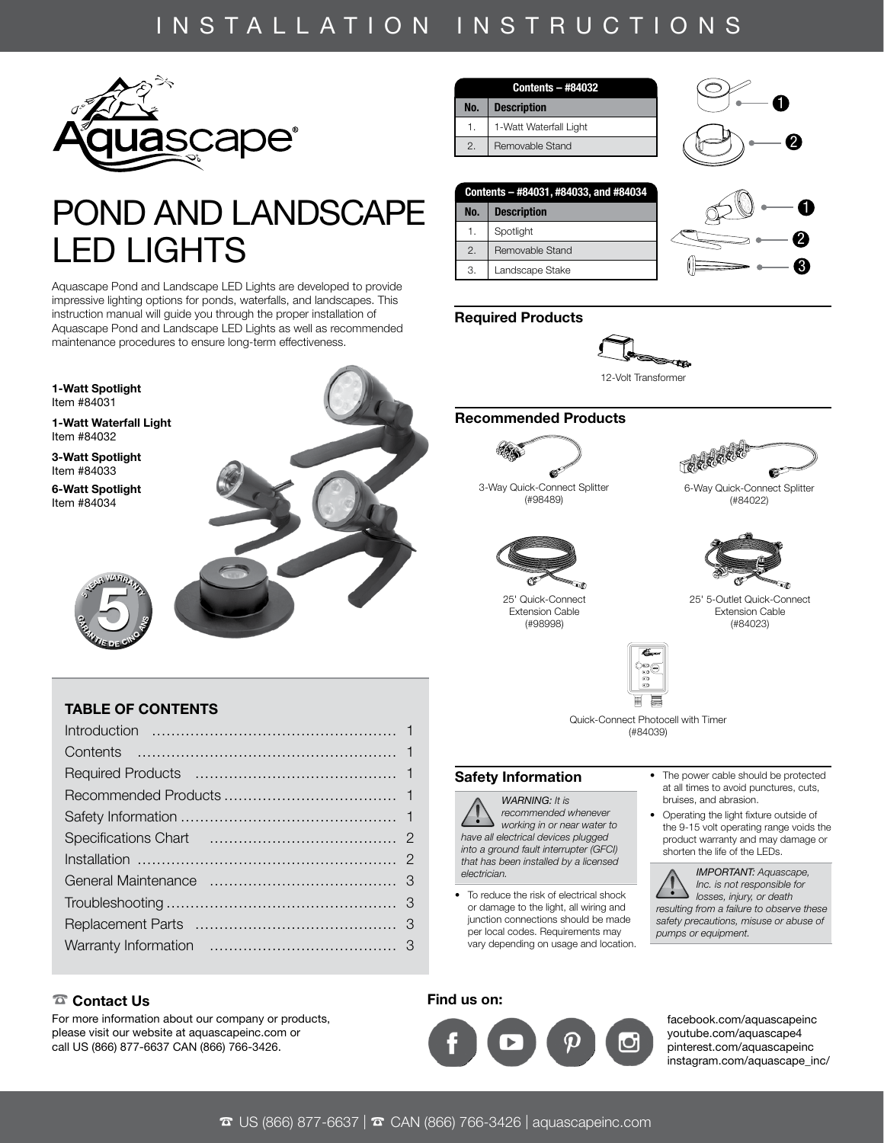# INSTALLATION INSTRUCTIONS



# POND AND LANDSCAPE LED LIGHTS

Aquascape Pond and Landscape LED Lights are developed to provide impressive lighting options for ponds, waterfalls, and landscapes. This instruction manual will guide you through the proper installation of Aquascape Pond and Landscape LED Lights as well as recommended maintenance procedures to ensure long-term effectiveness.



# TABLE OF CONTENTS

| <b>Contents - #84032</b> |
|--------------------------|
| <b>Description</b>       |
| 1-Watt Waterfall Light   |
| Removable Stand          |
|                          |

# 1 2

0

2 3

| Contents - #84031, #84033, and #84034 |                    |  |
|---------------------------------------|--------------------|--|
| No.                                   | <b>Description</b> |  |
| 1.                                    | Spotlight          |  |
| 2.                                    | Removable Stand    |  |
| 3.                                    | Landscape Stake    |  |

# Required Products



12-Volt Transformer

# Recommended Products 2 1



3-Way Quick-Connect Splitter 2 1 (#98489)



25' Quick-Connect 2 1 Extension Cable (#98998)



6-Way Quick-Connect Splitter (#84022)



25' 5-Outlet Quick-Connect 2 1 Extension Cable (#84023)



Quick-Connect Photocell with Timer (#84039)

### Safety Information

*WARNING: It is recommended whenever working in or near water to have all electrical devices plugged into a ground fault interrupter (GFCI) that has been installed by a licensed electrician.*

• To reduce the risk of electrical shock or damage to the light, all wiring and junction connections should be made per local codes. Requirements may vary depending on usage and location.

### • The power cable should be protected at all times to avoid punctures, cuts, bruises, and abrasion.

• Operating the light fixture outside of the 9-15 volt operating range voids the product warranty and may damage or shorten the life of the LEDs.



*IMPORTANT: Aquascape, Inc. is not responsible for losses, injury, or death resulting from a failure to observe these safety precautions, misuse or abuse of pumps or equipment.*

### ☎ Contact Us

For more information about our company or products, please visit our website at aquascapeinc.com or call US (866) 877-6637 CAN (866) 766-3426.

# Find us on:



[facebook.com/aquascapeinc](https://www.facebook.com/AquascapeInc/) [youtube.com/aquascape4](https://www.youtube.com/Aquascape4) [pinterest.com/aquascapeinc](https://www.pinterest.com/aquascapeinc/) [instagram.com/aquascape\\_inc/](https://www.instagram.com/aquascape_inc/)

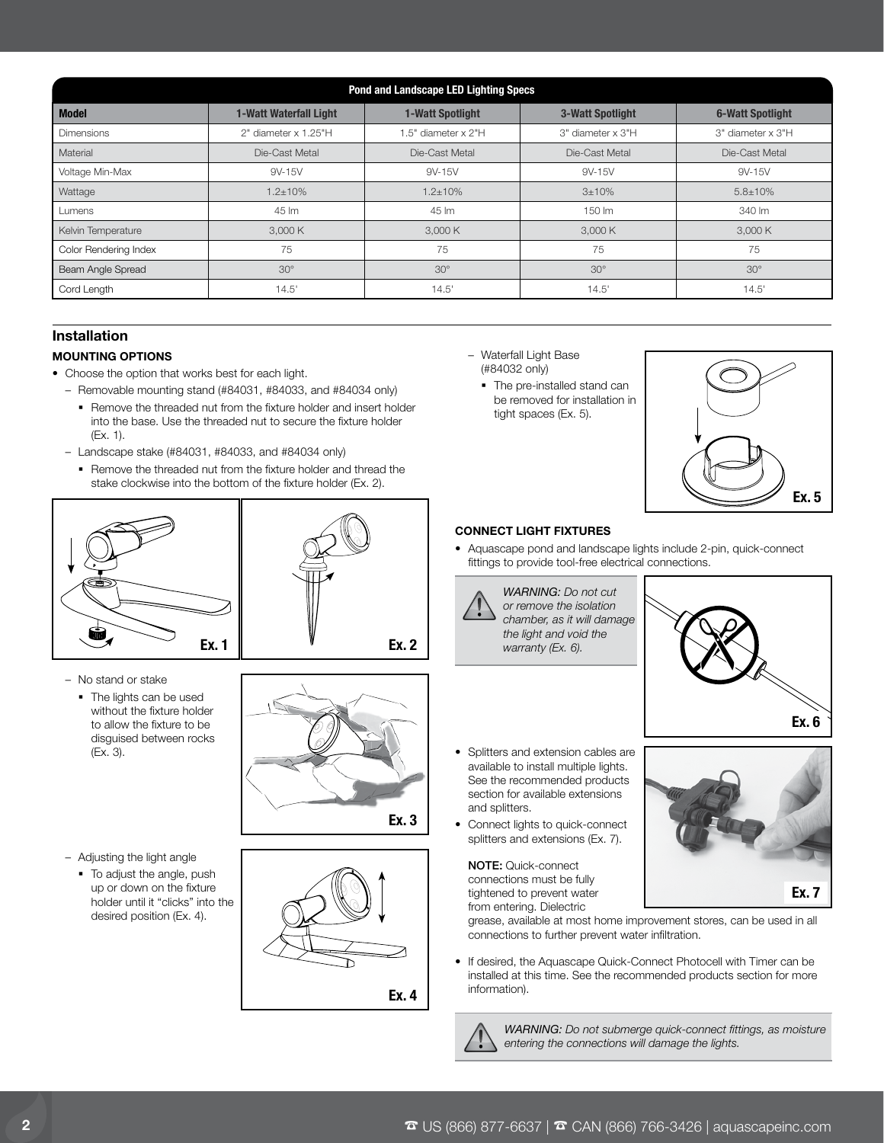| Pond and Landscape LED Lighting Specs |                               |                         |                         |                         |
|---------------------------------------|-------------------------------|-------------------------|-------------------------|-------------------------|
| <b>Model</b>                          | <b>1-Watt Waterfall Light</b> | <b>1-Watt Spotlight</b> | <b>3-Watt Spotlight</b> | <b>6-Watt Spotlight</b> |
| <b>Dimensions</b>                     | 2" diameter x 1.25"H          | 1.5" diameter x 2"H     | 3" diameter x 3"H       | 3" diameter x 3"H       |
| Material                              | Die-Cast Metal                | Die-Cast Metal          | Die-Cast Metal          | Die-Cast Metal          |
| Voltage Min-Max                       | 9V-15V                        | 9V-15V                  | 9V-15V                  | 9V-15V                  |
| Wattage                               | $1.2 \pm 10\%$                | $1.2 \pm 10\%$          | 3±10%                   | $5.8 \pm 10\%$          |
| Lumens                                | 45 lm                         | 45 lm                   | 150 lm                  | 340 lm                  |
| Kelvin Temperature                    | 3,000 K                       | 3,000 K                 | 3,000 K                 | 3,000 K                 |
| Color Rendering Index                 | 75                            | 75                      | 75                      | 75                      |
| Beam Angle Spread                     | $30^\circ$                    | $30^\circ$              | $30^\circ$              | $30^\circ$              |
| Cord Length                           | 14.5'                         | 14.5'                   | 14.5'                   | 14.5'                   |

# Installation

# MOUNTING OPTIONS

- Choose the option that works best for each light.
	- Removable mounting stand (#84031, #84033, and #84034 only)
		- **Remove the threaded nut from the fixture holder and insert holder** into the base. Use the threaded nut to secure the fixture holder (Ex. 1).
	- Landscape stake (#84031, #84033, and #84034 only)
	- **Remove the threaded nut from the fixture holder and thread the** stake clockwise into the bottom of the fixture holder (Ex. 2).





- No stand or stake
	- The lights can be used without the fixture holder to allow the fixture to be disguised between rocks (Ex. 3).



- Adjusting the light angle
	- $\blacksquare$  To adjust the angle, push up or down on the fixture holder until it "clicks" into the desired position (Ex. 4).



- Waterfall Light Base (#84032 only)
	- The pre-installed stand can be removed for installation in tight spaces (Ex. 5).



# CONNECT LIGHT FIXTURES

• Aquascape pond and landscape lights include 2-pin, quick-connect fittings to provide tool-free electrical connections.



- Ex. 6  $\mathbb{X}$
- Splitters and extension cables are available to install multiple lights. See the recommended products section for available extensions and splitters.
- Connect lights to quick-connect splitters and extensions (Ex. 7).

NOTE: Quick-connect connections must be fully tightened to prevent water from entering. Dielectric



grease, available at most home improvement stores, can be used in all connections to further prevent water infiltration.

• If desired, the Aquascape Quick-Connect Photocell with Timer can be installed at this time. See the recommended products section for more information).



*WARNING: Do not submerge quick-connect fittings, as moisture entering the connections will damage the lights.*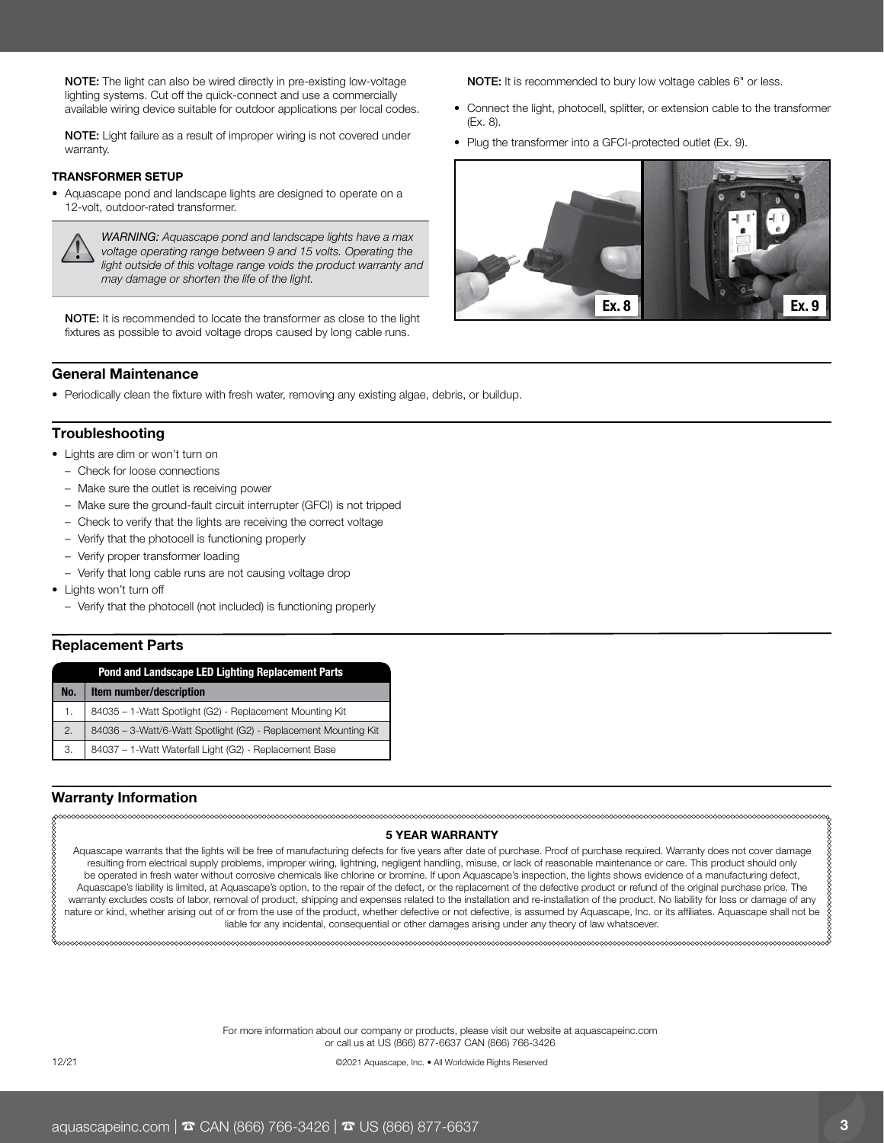NOTE: The light can also be wired directly in pre-existing low-voltage lighting systems. Cut off the quick-connect and use a commercially available wiring device suitable for outdoor applications per local codes.

NOTE: Light failure as a result of improper wiring is not covered under warranty.

### TRANSFORMER SETUP

• Aquascape pond and landscape lights are designed to operate on a 12-volt, outdoor-rated transformer.



*WARNING: Aquascape pond and landscape lights have a max voltage operating range between 9 and 15 volts. Operating the light outside of this voltage range voids the product warranty and may damage or shorten the life of the light.*

NOTE: It is recommended to locate the transformer as close to the light fixtures as possible to avoid voltage drops caused by long cable runs.

NOTE: It is recommended to bury low voltage cables 6" or less.

- Connect the light, photocell, splitter, or extension cable to the transformer (Ex. 8).
- Plug the transformer into a GFCI-protected outlet (Ex. 9).



### General Maintenance

• Periodically clean the fixture with fresh water, removing any existing algae, debris, or buildup.

### **Troubleshooting**

- Lights are dim or won't turn on
	- Check for loose connections
	- Make sure the outlet is receiving power
	- Make sure the ground-fault circuit interrupter (GFCI) is not tripped
	- Check to verify that the lights are receiving the correct voltage
	- Verify that the photocell is functioning properly
	- Verify proper transformer loading
	- Verify that long cable runs are not causing voltage drop
- Lights won't turn off
	- Verify that the photocell (not included) is functioning properly

### Replacement Parts

|     | <b>Pond and Landscape LED Lighting Replacement Parts</b>        |
|-----|-----------------------------------------------------------------|
| No. | Item number/description                                         |
| 1.  | 84035 - 1-Watt Spotlight (G2) - Replacement Mounting Kit        |
| 2.  | 84036 - 3-Watt/6-Watt Spotlight (G2) - Replacement Mounting Kit |
| 3.  | 84037 - 1-Watt Waterfall Light (G2) - Replacement Base          |

# Warranty Information

### 5 YEAR WARRANTY

Aquascape warrants that the lights will be free of manufacturing defects for five years after date of purchase. Proof of purchase required. Warranty does not cover damage resulting from electrical supply problems, improper wiring, lightning, negligent handling, misuse, or lack of reasonable maintenance or care. This product should only be operated in fresh water without corrosive chemicals like chlorine or bromine. If upon Aquascape's inspection, the lights shows evidence of a manufacturing defect, Aquascape's liability is limited, at Aquascape's option, to the repair of the defect, or the replacement of the defective product or refund of the original purchase price. The warranty excludes costs of labor, removal of product, shipping and expenses related to the installation and re-installation of the product. No liability for loss or damage of any nature or kind, whether arising out of or from the use of the product, whether defective or not defective, is assumed by Aquascape, Inc. or its affiliates. Aquascape shall not be liable for any incidental, consequential or other damages arising under any theory of law whatsoever.

> For more information about our company or products, please visit our website at [aquascapeinc.com](https://www.aquascapeinc.com/)  or call us at US (866) 877-6637 CAN (866) 766-3426

12/21 ©2021 Aquascape, Inc. • All Worldwide Rights Reserved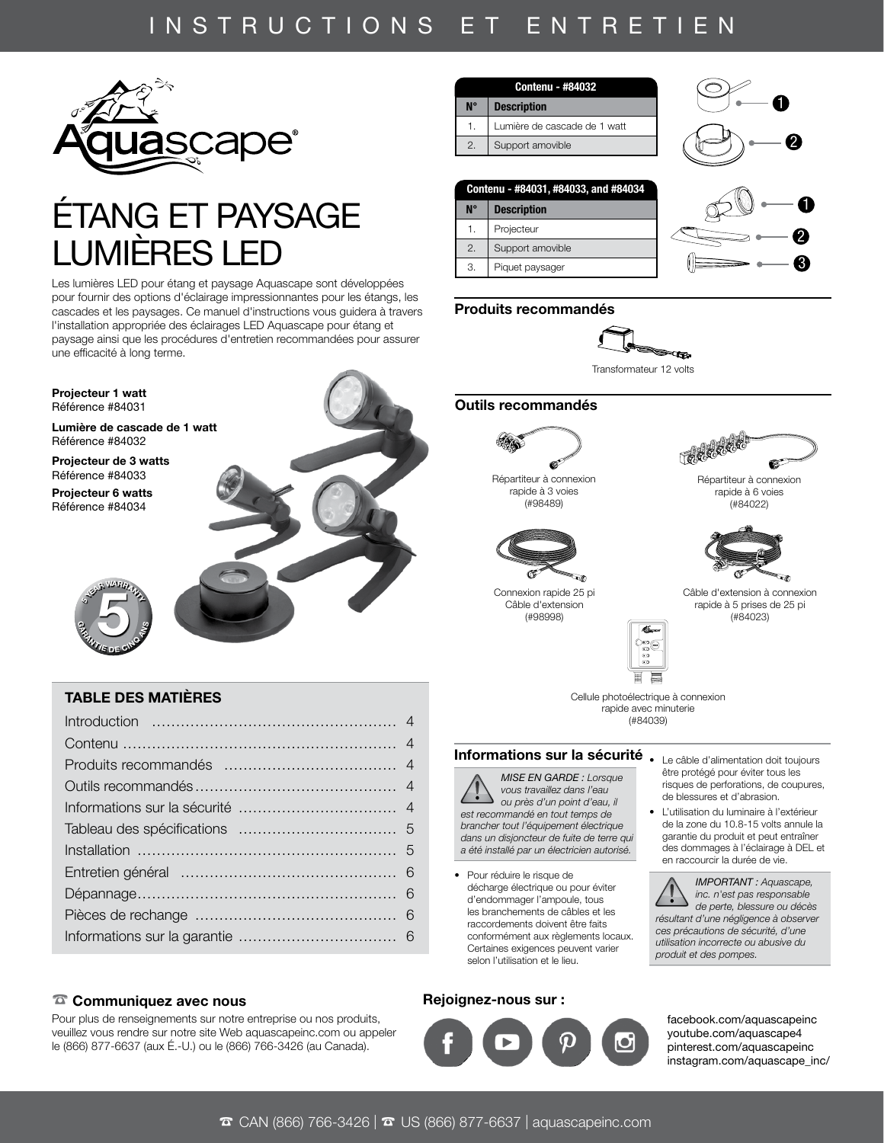# INSTRUCTIONS ET ENTRETIEN



# ÉTANG ET PAYSAGE LUMIÈRES LE

Les lumières LED pour étang et paysage Aquascape sont développées pour fournir des options d'éclairage impressionnantes pour les étangs, les cascades et les paysages. Ce manuel d'instructions vous guidera à travers l'installation appropriée des éclairages LED Aquascape pour étang et paysage ainsi que les procédures d'entretien recommandées pour assurer une efficacité à long terme.



# TABLE DES MATIÈRES

## ☎ Communiquez avec nous

Pour plus de renseignements sur notre entreprise ou nos produits, veuillez vous rendre sur notre site Web aquascapeinc.com ou appeler le (866) 877-6637 (aux É.-U.) ou le (866) 766-3426 (au Canada).



1

2 3

| Contenu - #84031, #84033, and #84034 |                    |  |
|--------------------------------------|--------------------|--|
| <b>N°</b>                            | <b>Description</b> |  |
| 1.                                   | Projecteur         |  |
| 2.                                   | Support amovible   |  |
| 3.                                   | Piquet paysager    |  |

# Produits recommandés



Transformateur 12 volts

### Outils recommandés 2 1



Répartiteur à connexion rapide à 3 voies (#98489)



Connexion rapide 25 pi 2 1 Câble d'extension (#98998)



Répartiteur à connexion rapide à 6 voies (#84022)



Câble d'extension à connexion rapide à 5 prises de 25 pi (#84023)



Cellule photoélectrique à connexion .<br>rapide avec minuterie (#84039)

# Informations sur la sécurité . Le câble d'alimentation doit toujours

*MISE EN GARDE : Lorsque vous travaillez dans l'eau ou près d'un point d'eau, il est recommandé en tout temps de brancher tout l'équipement électrique dans un disjoncteur de fuite de terre qui a été installé par un électricien autorisé.*

• Pour réduire le risque de décharge électrique ou pour éviter d'endommager l'ampoule, tous les branchements de câbles et les raccordements doivent être faits conformément aux règlements locaux. Certaines exigences peuvent varier selon l'utilisation et le lieu.

## Rejoignez-nous sur :



être protégé pour éviter tous les risques de perforations, de coupures, de blessures et d'abrasion.

• L'utilisation du luminaire à l'extérieur de la zone du 10.8-15 volts annule la garantie du produit et peut entraîner des dommages à l'éclairage à DEL et en raccourcir la durée de vie.

*IMPORTANT : Aquascape, inc. n'est pas responsable de perte, blessure ou décès résultant d'une négligence à observer ces précautions de sécurité, d'une utilisation incorrecte ou abusive du produit et des pompes.*

[facebook.com/aquascapeinc](https://www.facebook.com/AquascapeInc/) [youtube.com/aquascape4](https://www.youtube.com/Aquascape4) [pinterest.com/aquascapeinc](https://www.pinterest.com/aquascapeinc/) [instagram.com/aquascape\\_inc/](https://www.instagram.com/aquascape_inc/)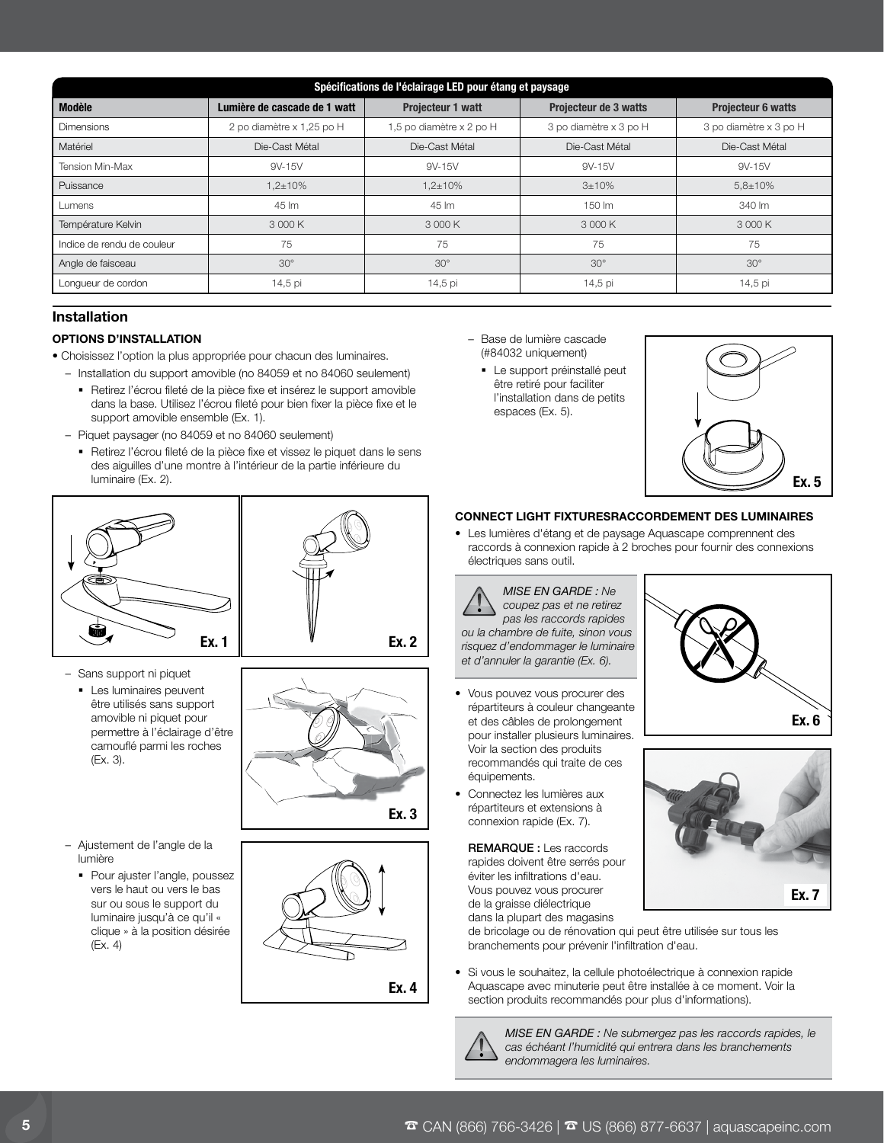| Spécifications de l'éclairage LED pour étang et paysage |                              |                          |                        |                           |
|---------------------------------------------------------|------------------------------|--------------------------|------------------------|---------------------------|
| <b>Modèle</b>                                           | Lumière de cascade de 1 watt | <b>Projecteur 1 watt</b> | Projecteur de 3 watts  | <b>Projecteur 6 watts</b> |
| <b>Dimensions</b>                                       | 2 po diamètre x 1,25 po H    | 1,5 po diamètre x 2 po H | 3 po diamètre x 3 po H | 3 po diamètre x 3 po H    |
| Matériel                                                | Die-Cast Métal               | Die-Cast Métal           | Die-Cast Métal         | Die-Cast Métal            |
| <b>Tension Min-Max</b>                                  | 9V-15V                       | 9V-15V                   | 9V-15V                 | 9V-15V                    |
| Puissance                                               | $1.2 \pm 10\%$               | $1.2 \pm 10\%$           | 3±10%                  | $5.8 \pm 10\%$            |
| Lumens                                                  | 45 lm                        | 45 lm                    | 150 lm                 | 340 lm                    |
| Température Kelvin                                      | 3 000 K                      | 3 000 K                  | 3 000 K                | 3 000 K                   |
| Indice de rendu de couleur                              | 75                           | 75                       | 75                     | 75                        |
| Angle de faisceau                                       | $30^\circ$                   | $30^\circ$               | $30^\circ$             | $30^\circ$                |
| Longueur de cordon                                      | 14,5 pi                      | 14,5 pi                  | 14,5 pi                | 14,5 pi                   |

# Installation

### OPTIONS D'INSTALLATION

• Choisissez l'option la plus appropriée pour chacun des luminaires.

- Installation du support amovible (no 84059 et no 84060 seulement)
	- Retirez l'écrou fileté de la pièce fixe et insérez le support amovible dans la base. Utilisez l'écrou fileté pour bien fixer la pièce fixe et le support amovible ensemble (Ex. 1).
- Piquet paysager (no 84059 et no 84060 seulement)
- Retirez l'écrou fileté de la pièce fixe et vissez le piquet dans le sens des aiguilles d'une montre à l'intérieur de la partie inférieure du luminaire (Ex. 2).
- 



- Sans support ni piquet
	- **Les luminaires peuvent** être utilisés sans support amovible ni piquet pour permettre à l'éclairage d'être camouflé parmi les roches (Ex. 3).



- Ajustement de l'angle de la lumière
	- Pour ajuster l'angle, poussez vers le haut ou vers le bas sur ou sous le support du luminaire jusqu'à ce qu'il « clique » à la position désirée (Ex. 4)



- Base de lumière cascade (#84032 uniquement)
	- Le support préinstallé peut être retiré pour faciliter l'installation dans de petits espaces (Ex. 5).



### CONNECT LIGHT FIXTURESRACCORDEMENT DES LUMINAIRES

• Les lumières d'étang et de paysage Aquascape comprennent des raccords à connexion rapide à 2 broches pour fournir des connexions électriques sans outil.

*MISE EN GARDE : Ne coupez pas et ne retirez pas les raccords rapides ou la chambre de fuite, sinon vous risquez d'endommager le luminaire et d'annuler la garantie (Ex. 6).*

- Vous pouvez vous procurer des répartiteurs à couleur changeante et des câbles de prolongement pour installer plusieurs luminaires. Voir la section des produits recommandés qui traite de ces équipements.
- Connectez les lumières aux répartiteurs et extensions à connexion rapide (Ex. 7).

REMARQUE : Les raccords rapides doivent être serrés pour éviter les infiltrations d'eau. Vous pouvez vous procurer de la graisse diélectrique dans la plupart des magasins



Ex. 7

X

de bricolage ou de rénovation qui peut être utilisée sur tous les branchements pour prévenir l'infiltration d'eau.

• Si vous le souhaitez, la cellule photoélectrique à connexion rapide Aquascape avec minuterie peut être installée à ce moment. Voir la section produits recommandés pour plus d'informations).



*MISE EN GARDE : Ne submergez pas les raccords rapides, le cas échéant l'humidité qui entrera dans les branchements endommagera les luminaires.*